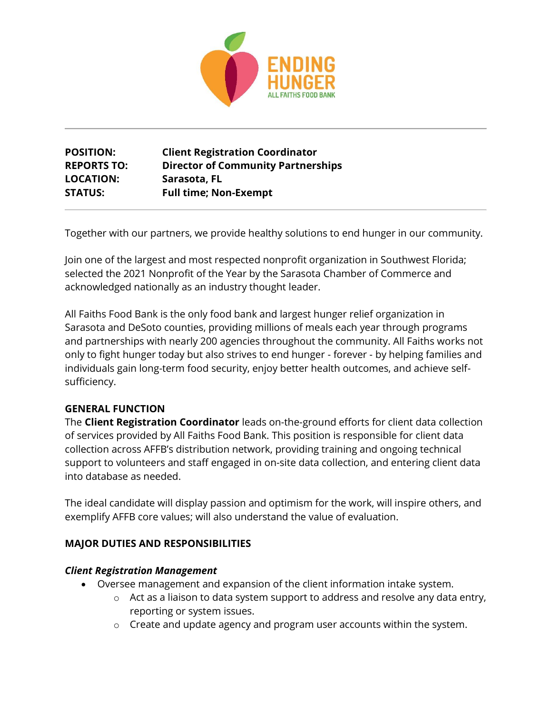

# **POSITION: Client Registration Coordinator REPORTS TO: Director of Community Partnerships LOCATION: Sarasota, FL STATUS: Full time; Non-Exempt**

Together with our partners, we provide healthy solutions to end hunger in our community.

Join one of the largest and most respected nonprofit organization in Southwest Florida; selected the 2021 Nonprofit of the Year by the Sarasota Chamber of Commerce and acknowledged nationally as an industry thought leader.

All Faiths Food Bank is the only food bank and largest hunger relief organization in Sarasota and DeSoto counties, providing millions of meals each year through programs and partnerships with nearly 200 agencies throughout the community. All Faiths works not only to fight hunger today but also strives to end hunger - forever - by helping families and individuals gain long-term food security, enjoy better health outcomes, and achieve selfsufficiency.

#### **GENERAL FUNCTION**

The **Client Registration Coordinator** leads on-the-ground efforts for client data collection of services provided by All Faiths Food Bank. This position is responsible for client data collection across AFFB's distribution network, providing training and ongoing technical support to volunteers and staff engaged in on-site data collection, and entering client data into database as needed.

The ideal candidate will display passion and optimism for the work, will inspire others, and exemplify AFFB core values; will also understand the value of evaluation.

### **MAJOR DUTIES AND RESPONSIBILITIES**

#### *Client Registration Management*

- Oversee management and expansion of the client information intake system.
	- o Act as a liaison to data system support to address and resolve any data entry, reporting or system issues.
	- o Create and update agency and program user accounts within the system.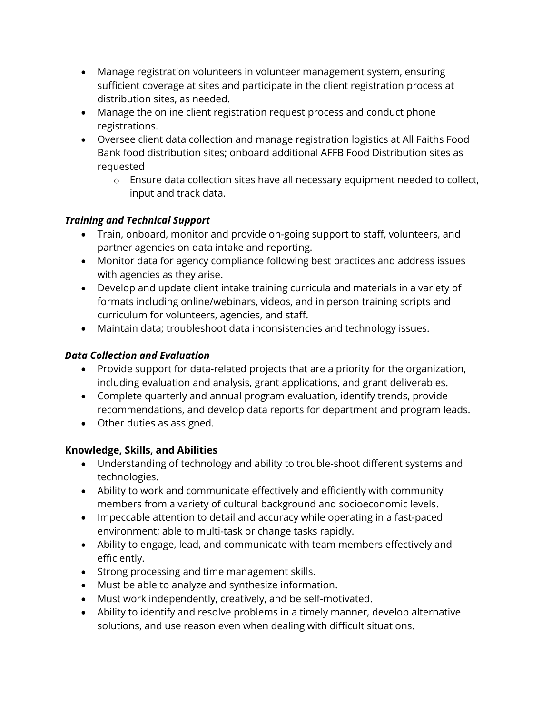- Manage registration volunteers in volunteer management system, ensuring sufficient coverage at sites and participate in the client registration process at distribution sites, as needed.
- Manage the online client registration request process and conduct phone registrations.
- Oversee client data collection and manage registration logistics at All Faiths Food Bank food distribution sites; onboard additional AFFB Food Distribution sites as requested
	- o Ensure data collection sites have all necessary equipment needed to collect, input and track data.

# *Training and Technical Support*

- Train, onboard, monitor and provide on-going support to staff, volunteers, and partner agencies on data intake and reporting.
- Monitor data for agency compliance following best practices and address issues with agencies as they arise.
- Develop and update client intake training curricula and materials in a variety of formats including online/webinars, videos, and in person training scripts and curriculum for volunteers, agencies, and staff.
- Maintain data; troubleshoot data inconsistencies and technology issues.

# *Data Collection and Evaluation*

- Provide support for data-related projects that are a priority for the organization, including evaluation and analysis, grant applications, and grant deliverables.
- Complete quarterly and annual program evaluation, identify trends, provide recommendations, and develop data reports for department and program leads.
- Other duties as assigned.

# **Knowledge, Skills, and Abilities**

- Understanding of technology and ability to trouble-shoot different systems and technologies.
- Ability to work and communicate effectively and efficiently with community members from a variety of cultural background and socioeconomic levels.
- Impeccable attention to detail and accuracy while operating in a fast-paced environment; able to multi-task or change tasks rapidly.
- Ability to engage, lead, and communicate with team members effectively and efficiently.
- Strong processing and time management skills.
- Must be able to analyze and synthesize information.
- Must work independently, creatively, and be self-motivated.
- Ability to identify and resolve problems in a timely manner, develop alternative solutions, and use reason even when dealing with difficult situations.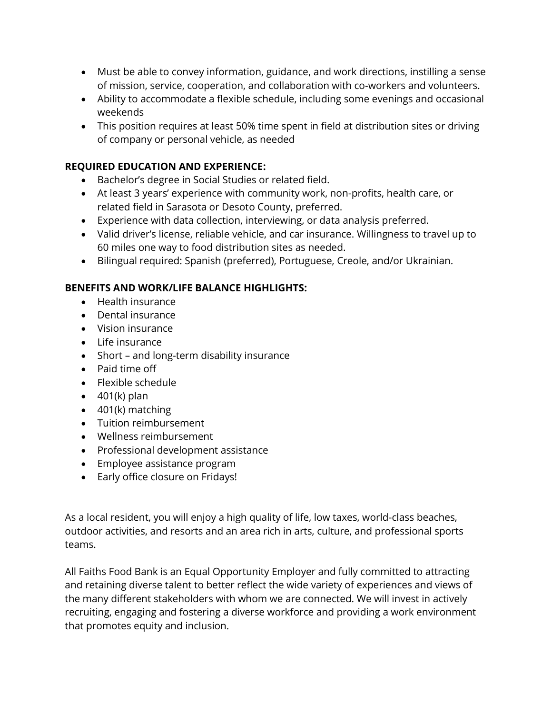- Must be able to convey information, guidance, and work directions, instilling a sense of mission, service, cooperation, and collaboration with co-workers and volunteers.
- Ability to accommodate a flexible schedule, including some evenings and occasional weekends
- This position requires at least 50% time spent in field at distribution sites or driving of company or personal vehicle, as needed

#### **REQUIRED EDUCATION AND EXPERIENCE:**

- Bachelor's degree in Social Studies or related field.
- At least 3 years' experience with community work, non-profits, health care, or related field in Sarasota or Desoto County, preferred.
- Experience with data collection, interviewing, or data analysis preferred.
- Valid driver's license, reliable vehicle, and car insurance. Willingness to travel up to 60 miles one way to food distribution sites as needed.
- Bilingual required: Spanish (preferred), Portuguese, Creole, and/or Ukrainian.

#### **BENEFITS AND WORK/LIFE BALANCE HIGHLIGHTS:**

- Health insurance
- Dental insurance
- Vision insurance
- Life insurance
- Short and long-term disability insurance
- Paid time off
- Flexible schedule
- $\bullet$  401(k) plan
- $\bullet$  401(k) matching
- Tuition reimbursement
- Wellness reimbursement
- Professional development assistance
- Employee assistance program
- Early office closure on Fridays!

As a local resident, you will enjoy a high quality of life, low taxes, world-class beaches, outdoor activities, and resorts and an area rich in arts, culture, and professional sports teams.

All Faiths Food Bank is an Equal Opportunity Employer and fully committed to attracting and retaining diverse talent to better reflect the wide variety of experiences and views of the many different stakeholders with whom we are connected. We will invest in actively recruiting, engaging and fostering a diverse workforce and providing a work environment that promotes equity and inclusion.